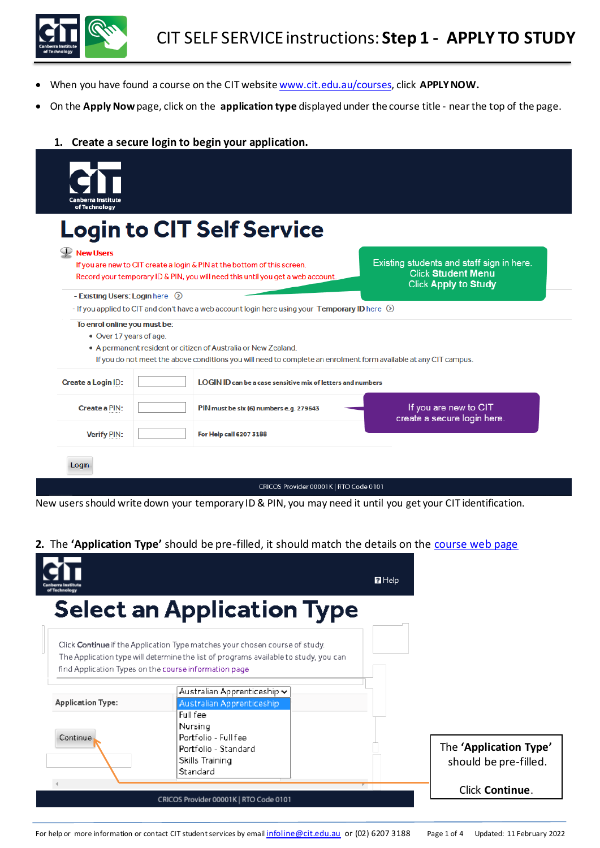

- When you have found a course on the CIT website [www.cit.edu.au/courses](http://www.cit.edu.au/courses), click **APPLY NOW.**
- On the **Apply Now**page, click on the **application type** displayed under the course title nearthe top of the page.
	- **1. Create a secure login to begin your application.**

| Canberra Institute<br>of Technology                     |                                                                                                                                                             |                                                                                                       |
|---------------------------------------------------------|-------------------------------------------------------------------------------------------------------------------------------------------------------------|-------------------------------------------------------------------------------------------------------|
|                                                         | <b>Login to CIT Self Service</b>                                                                                                                            |                                                                                                       |
| $\mathbf{V}$ New Users                                  |                                                                                                                                                             |                                                                                                       |
|                                                         | If you are new to CIT create a login & PIN at the bottom of this screen.<br>Record your temporary ID & PIN, you will need this until you get a web account. | Existing students and staff sign in here.<br><b>Click Student Menu</b><br><b>Click Apply to Study</b> |
| - Existing Users: Login here $\odot$                    |                                                                                                                                                             |                                                                                                       |
|                                                         | - If you applied to CIT and don't have a web account login here using your Temporary ID here $\circledcirc$                                                 |                                                                                                       |
| To enrol online you must be:<br>• Over 17 years of age. |                                                                                                                                                             |                                                                                                       |
|                                                         | • A permanent resident or citizen of Australia or New Zealand.                                                                                              |                                                                                                       |
|                                                         | If you do not meet the above conditions you will need to complete an enrolment form available at any CIT campus.                                            |                                                                                                       |
| Create a Login ID:                                      | <b>LOGIN ID can be a case sensitive mix of letters and numbers</b>                                                                                          |                                                                                                       |
| <b>Create a PIN:</b>                                    | PIN must be six (6) numbers e.g. 279643                                                                                                                     | If you are new to CIT<br>create a secure login here.                                                  |
| <b>Verify PIN:</b>                                      | For Help call 6207 3188                                                                                                                                     |                                                                                                       |
|                                                         |                                                                                                                                                             |                                                                                                       |

New users should write down your temporary ID & PIN, you may need it until you get your CIT identification.

**2.** The 'Application Type' should be pre-filled, it should match the details on the [course web page](https://cit.edu.au/courses)

|                          |                                                                                                                                                                                                                              | <b>R</b> Help |                                                 |
|--------------------------|------------------------------------------------------------------------------------------------------------------------------------------------------------------------------------------------------------------------------|---------------|-------------------------------------------------|
|                          | <b>Select an Application Type</b>                                                                                                                                                                                            |               |                                                 |
|                          | Click Continue if the Application Type matches your chosen course of study.<br>The Application type will determine the list of programs available to study, you can<br>find Application Types on the course information page |               |                                                 |
| <b>Application Type:</b> | Australian Apprenticeship $\backsim$<br>Australian Apprenticeship                                                                                                                                                            |               |                                                 |
| Continue                 | Full fee<br>Nursing<br>Portfolio - Full fee                                                                                                                                                                                  |               |                                                 |
|                          | Portfolio - Standard<br>Skills Training<br>Standard                                                                                                                                                                          |               | The 'Application Type'<br>should be pre-filled. |
|                          | CRICOS Provider 00001K   RTO Code 0101                                                                                                                                                                                       |               | Click Continue.                                 |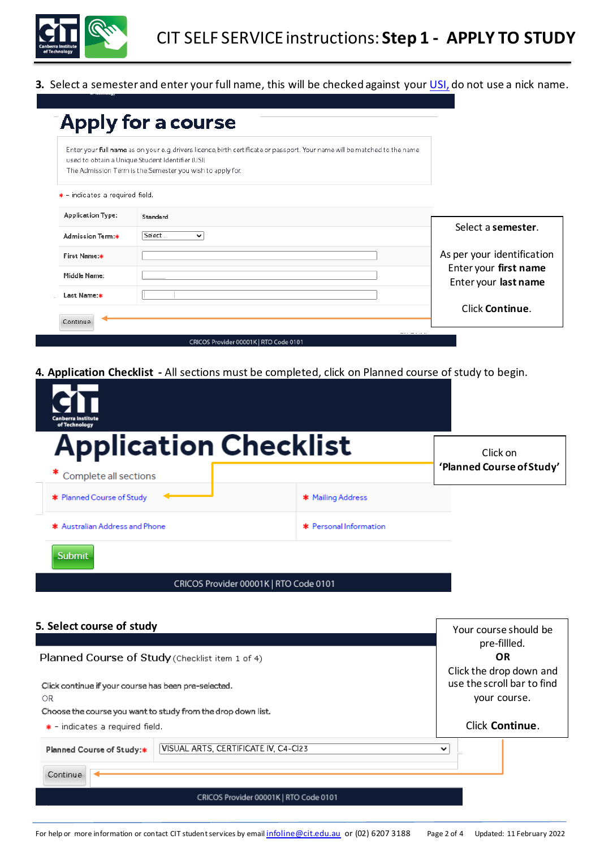

**3.** Select a semester and enter your full name, this will be checked against you[r USI,](https://www.usi.gov.au/) do not use a nick name.

|                                         | Enter your full name as on your e.g. drivers licence, birth certificate or passport. Your name will be matched to the name<br>used to obtain a Unique Student Identifier (USI)<br>The Admission Term is the Semester you wish to apply for. |                            |
|-----------------------------------------|---------------------------------------------------------------------------------------------------------------------------------------------------------------------------------------------------------------------------------------------|----------------------------|
| $\bullet$ - indicates a required field. |                                                                                                                                                                                                                                             |                            |
| <b>Application Type:</b>                | Standard                                                                                                                                                                                                                                    |                            |
| Admission Term:*                        | S <sub>elect</sub><br>$\checkmark$                                                                                                                                                                                                          | Select a semester.         |
| First Name:*                            |                                                                                                                                                                                                                                             | As per your identification |
| Middle Name:                            |                                                                                                                                                                                                                                             | Enter your first name      |
| Last Name:*                             |                                                                                                                                                                                                                                             | Enter your last name       |
|                                         |                                                                                                                                                                                                                                             | Click Continue.            |

**4. Application Checklist -** All sections must be completed, click on Planned course of study to begin.

| <b>Canberra Institute</b><br>of Technology            |                        |                                       |
|-------------------------------------------------------|------------------------|---------------------------------------|
| <b>Application Checklist</b><br>Complete all sections |                        | Click on<br>'Planned Course of Study' |
| * Planned Course of Study                             | * Mailing Address      |                                       |
| * Australian Address and Phone                        | * Personal Information |                                       |
| <b>Submit</b>                                         |                        |                                       |
| CRICOS Provider 00001K   RTO Code 0101                |                        |                                       |

| 5. Select course of study                                                                                                  |                                        |                 | Your course should be<br>pre-fillled.                                 |  |
|----------------------------------------------------------------------------------------------------------------------------|----------------------------------------|-----------------|-----------------------------------------------------------------------|--|
| Planned Course of Study (Checklist item 1 of 4)                                                                            |                                        |                 | <b>OR</b>                                                             |  |
| Click continue if your course has been pre-selected.<br>OR<br>Choose the course you want to study from the drop down list. |                                        |                 | Click the drop down and<br>use the scroll bar to find<br>your course. |  |
| $\bullet$ - indicates a required field.                                                                                    |                                        | Click Continue. |                                                                       |  |
| Planned Course of Study:*                                                                                                  | VISUAL ARTS, CERTIFICATE IV, C4-CI23   | $\check{ }$     |                                                                       |  |
| Continue                                                                                                                   |                                        |                 |                                                                       |  |
|                                                                                                                            | CRICOS Provider 00001K   RTO Code 0101 |                 |                                                                       |  |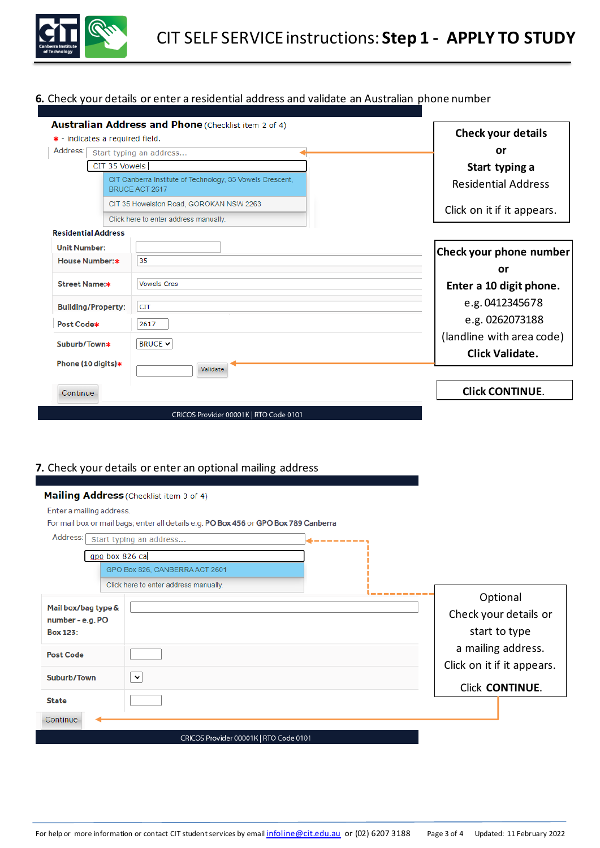

## **6.** Check your details or enter a residential address and validate an Australian phone number

| <b>Australian Address and Phone (Checklist item 2 of 4)</b><br>* - indicates a required field. |                                                                             | <b>Check your details</b>  |
|------------------------------------------------------------------------------------------------|-----------------------------------------------------------------------------|----------------------------|
| Address:                                                                                       | Start typing an address                                                     | or                         |
| CIT 35 Vowels                                                                                  |                                                                             | Start typing a             |
|                                                                                                | CIT Canberra Institute of Technology, 35 Vowels Crescent,<br>BRUCE ACT 2617 | <b>Residential Address</b> |
|                                                                                                | CIT 35 Howelston Road, GOROKAN NSW 2263                                     | Click on it if it appears. |
|                                                                                                | Click here to enter address manually.                                       |                            |
| <b>Residential Address</b>                                                                     |                                                                             |                            |
| <b>Unit Number:</b>                                                                            |                                                                             | Check your phone number    |
| House Number:*                                                                                 | 35                                                                          | or                         |
| <b>Street Name:*</b>                                                                           | <b>Vowels Cres</b>                                                          | Enter a 10 digit phone.    |
| <b>Building/Property:</b>                                                                      | <b>CIT</b>                                                                  | e.g. 0412345678            |
| Post Code*                                                                                     | 2617                                                                        | e.g. 0262073188            |
| Suburb/Town*                                                                                   | <b>BRUCE <math>\vee</math></b>                                              | (landline with area code)  |
| Phone (10 digits)*                                                                             |                                                                             | <b>Click Validate.</b>     |
|                                                                                                | Validate                                                                    |                            |
| Continue                                                                                       |                                                                             | <b>Click CONTINUE.</b>     |
|                                                                                                | CRICOS Provider 00001K   RTO Code 0101                                      |                            |

## **7.** Check your details or enter an optional mailing address

|                                         | Mailing Address (Checklist item 3 of 4)                                              |          |                            |
|-----------------------------------------|--------------------------------------------------------------------------------------|----------|----------------------------|
| Enter a mailing address.                |                                                                                      |          |                            |
|                                         | For mail box or mail bags; enter all details e.g. PO Box 456 or GPO Box 789 Canberra |          |                            |
| Address:                                | Start typing an address                                                              | -------- |                            |
| gpo box 826 ca                          |                                                                                      |          |                            |
|                                         | GPO Box 826, CANBERRA ACT 2601                                                       |          |                            |
|                                         | Click here to enter address manually.                                                |          |                            |
|                                         |                                                                                      |          | Optional                   |
| Mail box/bag type &<br>number - e.g. PO |                                                                                      |          | Check your details or      |
| <b>Box 123:</b>                         |                                                                                      |          | start to type              |
|                                         |                                                                                      |          | a mailing address.         |
| <b>Post Code</b>                        |                                                                                      |          |                            |
|                                         |                                                                                      |          | Click on it if it appears. |
| Suburb/Town                             | $\checkmark$                                                                         |          | <b>Click CONTINUE.</b>     |
| <b>State</b>                            |                                                                                      |          |                            |
|                                         |                                                                                      |          |                            |
| Continue                                |                                                                                      |          |                            |
|                                         | CRICOS Provider 00001K   RTO Code 0101                                               |          |                            |